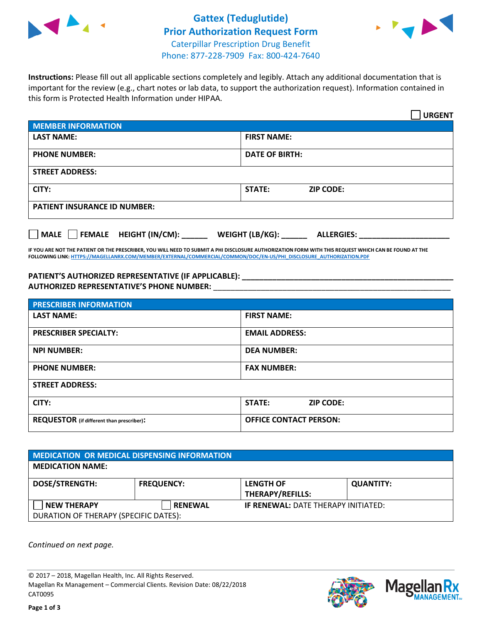

## **Gattex (Teduglutide) Prior Authorization Request Form** Caterpillar Prescription Drug Benefit Phone: 877-228-7909 Fax: 800-424-7640



**Instructions:** Please fill out all applicable sections completely and legibly. Attach any additional documentation that is important for the review (e.g., chart notes or lab data, to support the authorization request). Information contained in this form is Protected Health Information under HIPAA.

|                                       | <b>URGENT</b>                        |
|---------------------------------------|--------------------------------------|
| <b>MEMBER INFORMATION</b>             |                                      |
| <b>LAST NAME:</b>                     | <b>FIRST NAME:</b>                   |
| <b>PHONE NUMBER:</b>                  | <b>DATE OF BIRTH:</b>                |
| <b>STREET ADDRESS:</b>                |                                      |
| CITY:                                 | STATE:<br><b>ZIP CODE:</b>           |
| <b>PATIENT INSURANCE ID NUMBER:</b>   |                                      |
| FEMALE HEIGHT (IN/CM):<br><b>MALE</b> | WEIGHT (LB/KG):<br><b>ALLERGIES:</b> |

**IF YOU ARE NOT THE PATIENT OR THE PRESCRIBER, YOU WILL NEED TO SUBMIT A PHI DISCLOSURE AUTHORIZATION FORM WITH THIS REQUEST WHICH CAN BE FOUND AT THE FOLLOWING LINK[: HTTPS://MAGELLANRX.COM/MEMBER/EXTERNAL/COMMERCIAL/COMMON/DOC/EN-US/PHI\\_DISCLOSURE\\_AUTHORIZATION.PDF](https://magellanrx.com/member/external/commercial/common/doc/en-us/PHI_Disclosure_Authorization.pdf)**

**PATIENT'S AUTHORIZED REPRESENTATIVE (IF APPLICABLE): \_\_\_\_\_\_\_\_\_\_\_\_\_\_\_\_\_\_\_\_\_\_\_\_\_\_\_\_\_\_\_\_\_\_\_\_\_\_\_\_\_\_\_\_\_\_\_\_\_ AUTHORIZED REPRESENTATIVE'S PHONE NUMBER:** \_\_\_\_\_\_\_\_\_\_\_\_\_\_\_\_\_\_\_\_\_\_\_\_\_\_\_\_\_\_\_\_\_\_\_\_\_\_\_\_\_\_\_\_\_\_\_\_\_\_\_\_\_\_\_

| <b>PRESCRIBER INFORMATION</b>             |                               |  |  |  |
|-------------------------------------------|-------------------------------|--|--|--|
| <b>LAST NAME:</b>                         | <b>FIRST NAME:</b>            |  |  |  |
| <b>PRESCRIBER SPECIALTY:</b>              | <b>EMAIL ADDRESS:</b>         |  |  |  |
| <b>NPI NUMBER:</b>                        | <b>DEA NUMBER:</b>            |  |  |  |
| <b>PHONE NUMBER:</b>                      | <b>FAX NUMBER:</b>            |  |  |  |
| <b>STREET ADDRESS:</b>                    |                               |  |  |  |
| CITY:                                     | STATE:<br><b>ZIP CODE:</b>    |  |  |  |
| REQUESTOR (if different than prescriber): | <b>OFFICE CONTACT PERSON:</b> |  |  |  |

| <b>MEDICATION OR MEDICAL DISPENSING INFORMATION</b> |                   |                                            |                  |  |  |  |  |
|-----------------------------------------------------|-------------------|--------------------------------------------|------------------|--|--|--|--|
| <b>MEDICATION NAME:</b>                             |                   |                                            |                  |  |  |  |  |
| <b>DOSE/STRENGTH:</b>                               | <b>FREQUENCY:</b> | <b>LENGTH OF</b>                           | <b>QUANTITY:</b> |  |  |  |  |
|                                                     |                   | <b>THERAPY/REFILLS:</b>                    |                  |  |  |  |  |
| <b>NEW THERAPY</b>                                  | <b>RENEWAL</b>    | <b>IF RENEWAL: DATE THERAPY INITIATED:</b> |                  |  |  |  |  |
| DURATION OF THERAPY (SPECIFIC DATES):               |                   |                                            |                  |  |  |  |  |

*Continued on next page.*

© 2017 – 2018, Magellan Health, Inc. All Rights Reserved. Magellan Rx Management – Commercial Clients. Revision Date: 08/22/2018 CAT0095



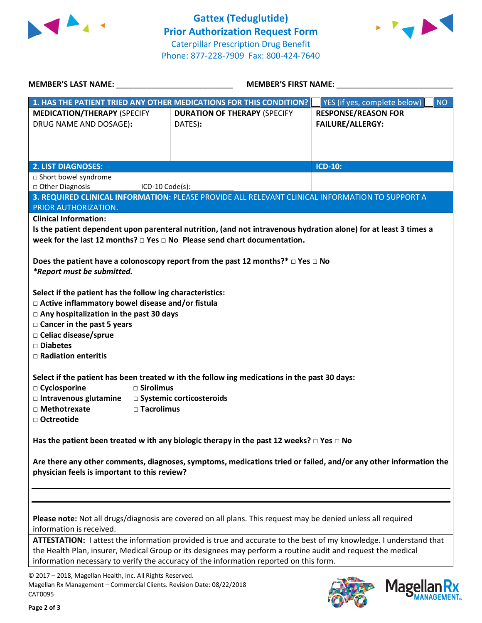



| <b>MEMBER'S LAST NAME:</b>                                                                                                                                                                                                                                                                                                   |                      | <b>MEMBER'S FIRST NAME:</b>                    |  |                                                       |           |
|------------------------------------------------------------------------------------------------------------------------------------------------------------------------------------------------------------------------------------------------------------------------------------------------------------------------------|----------------------|------------------------------------------------|--|-------------------------------------------------------|-----------|
| 1. HAS THE PATIENT TRIED ANY OTHER MEDICATIONS FOR THIS CONDITION?                                                                                                                                                                                                                                                           |                      |                                                |  | YES (if yes, complete below)                          | <b>NO</b> |
| <b>MEDICATION/THERAPY (SPECIFY</b><br>DRUG NAME AND DOSAGE):                                                                                                                                                                                                                                                                 |                      | <b>DURATION OF THERAPY (SPECIFY</b><br>DATES): |  | <b>RESPONSE/REASON FOR</b><br><b>FAILURE/ALLERGY:</b> |           |
| <b>2. LIST DIAGNOSES:</b>                                                                                                                                                                                                                                                                                                    |                      |                                                |  | ICD-10:                                               |           |
| $\Box$ Short bowel syndrome                                                                                                                                                                                                                                                                                                  |                      |                                                |  |                                                       |           |
| Other Diagnosis                                                                                                                                                                                                                                                                                                              | ICD-10 Code(s):      |                                                |  |                                                       |           |
| 3. REQUIRED CLINICAL INFORMATION: PLEASE PROVIDE ALL RELEVANT CLINICAL INFORMATION TO SUPPORT A                                                                                                                                                                                                                              |                      |                                                |  |                                                       |           |
| PRIOR AUTHORIZATION.                                                                                                                                                                                                                                                                                                         |                      |                                                |  |                                                       |           |
| <b>Clinical Information:</b><br>Is the patient dependent upon parenteral nutrition, (and not intravenous hydration alone) for at least 3 times a<br>week for the last 12 months? $\Box$ Yes $\Box$ No Please send chart documentation.                                                                                       |                      |                                                |  |                                                       |           |
| Does the patient have a colonoscopy report from the past 12 months?* $\Box$ Yes $\Box$ No<br>*Report must be submitted.                                                                                                                                                                                                      |                      |                                                |  |                                                       |           |
| Select if the patient has the follow ing characteristics:<br>□ Active inflammatory bowel disease and/or fistula<br>$\Box$ Any hospitalization in the past 30 days<br>□ Cancer in the past 5 years<br>□ Celiac disease/sprue<br>□ Diabetes<br>$\Box$ Radiation enteritis                                                      |                      |                                                |  |                                                       |           |
| Select if the patient has been treated w ith the follow ing medications in the past 30 days:                                                                                                                                                                                                                                 |                      |                                                |  |                                                       |           |
| □ Cyclosporine                                                                                                                                                                                                                                                                                                               | $\square$ Sirolimus  |                                                |  |                                                       |           |
| $\Box$ Intravenous glutamine $\Box$ Systemic corticosteroids                                                                                                                                                                                                                                                                 |                      |                                                |  |                                                       |           |
| □ Methotrexate<br>□ Octreotide                                                                                                                                                                                                                                                                                               | $\square$ Tacrolimus |                                                |  |                                                       |           |
| Has the patient been treated w ith any biologic therapy in the past 12 weeks? $\Box$ Yes $\Box$ No                                                                                                                                                                                                                           |                      |                                                |  |                                                       |           |
| Are there any other comments, diagnoses, symptoms, medications tried or failed, and/or any other information the<br>physician feels is important to this review?                                                                                                                                                             |                      |                                                |  |                                                       |           |
|                                                                                                                                                                                                                                                                                                                              |                      |                                                |  |                                                       |           |
| Please note: Not all drugs/diagnosis are covered on all plans. This request may be denied unless all required<br>information is received.                                                                                                                                                                                    |                      |                                                |  |                                                       |           |
| ATTESTATION: I attest the information provided is true and accurate to the best of my knowledge. I understand that<br>the Health Plan, insurer, Medical Group or its designees may perform a routine audit and request the medical<br>information necessary to verify the accuracy of the information reported on this form. |                      |                                                |  |                                                       |           |
| © 2017 - 2018, Magellan Health, Inc. All Rights Reserved.<br>Magellan Rx Management - Commercial Clients. Revision Date: 08/22/2018<br>CAT0095                                                                                                                                                                               |                      |                                                |  |                                                       | Magel     |